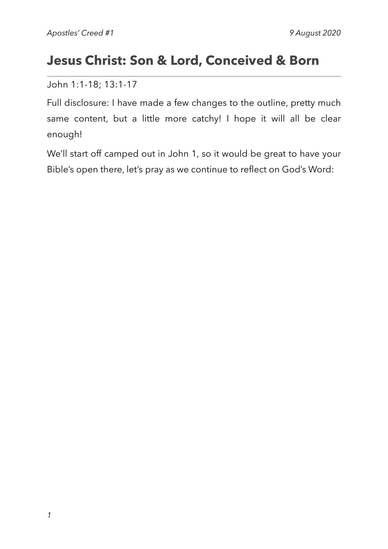# **Jesus Christ: Son & Lord, Conceived & Born**

#### John 1:1-18; 13:1-17

Full disclosure: I have made a few changes to the outline, pretty much same content, but a little more catchy! I hope it will all be clear enough!

We'll start off camped out in John 1, so it would be great to have your Bible's open there, let's pray as we continue to reflect on God's Word: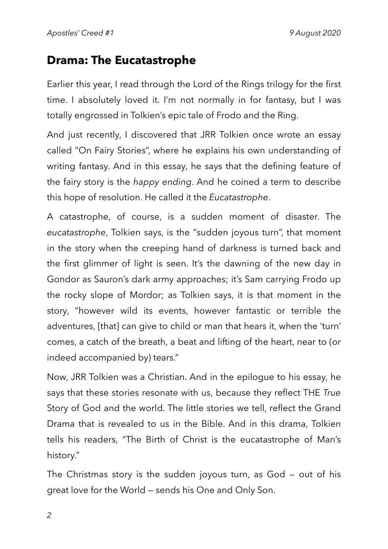### **Drama: The Eucatastrophe**

Earlier this year, I read through the Lord of the Rings trilogy for the first time. I absolutely loved it. I'm not normally in for fantasy, but I was totally engrossed in Tolkien's epic tale of Frodo and the Ring.

And just recently, I discovered that JRR Tolkien once wrote an essay called "On Fairy Stories", where he explains his own understanding of writing fantasy. And in this essay, he says that the defining feature of the fairy story is the *happy ending*. And he coined a term to describe this hope of resolution. He called it the *Eucatastrophe*.

A catastrophe, of course, is a sudden moment of disaster. The *eucatastrophe*, Tolkien says, is the "sudden joyous turn", that moment in the story when the creeping hand of darkness is turned back and the first glimmer of light is seen. It's the dawning of the new day in Gondor as Sauron's dark army approaches; it's Sam carrying Frodo up the rocky slope of Mordor; as Tolkien says, it is that moment in the story, "however wild its events, however fantastic or terrible the adventures, [that] can give to child or man that hears it, when the 'turn' comes, a catch of the breath, a beat and lifting of the heart, near to (or indeed accompanied by) tears."

Now, JRR Tolkien was a Christian. And in the epilogue to his essay, he says that these stories resonate with us, because they reflect THE *True* Story of God and the world. The little stories we tell, reflect the Grand Drama that is revealed to us in the Bible. And in this drama, Tolkien tells his readers, "The Birth of Christ is the eucatastrophe of Man's history."

The Christmas story is the sudden joyous turn, as God — out of his great love for the World — sends his One and Only Son.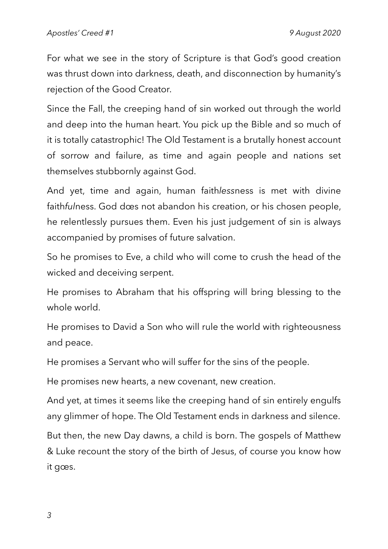For what we see in the story of Scripture is that God's good creation was thrust down into darkness, death, and disconnection by humanity's rejection of the Good Creator.

Since the Fall, the creeping hand of sin worked out through the world and deep into the human heart. You pick up the Bible and so much of it is totally catastrophic! The Old Testament is a brutally honest account of sorrow and failure, as time and again people and nations set themselves stubbornly against God.

And yet, time and again, human faith*less*ness is met with divine faith*ful*ness. God dœs not abandon his creation, or his chosen people, he relentlessly pursues them. Even his just judgement of sin is always accompanied by promises of future salvation.

So he promises to Eve, a child who will come to crush the head of the wicked and deceiving serpent.

He promises to Abraham that his offspring will bring blessing to the whole world.

He promises to David a Son who will rule the world with righteousness and peace.

He promises a Servant who will suffer for the sins of the people.

He promises new hearts, a new covenant, new creation.

And yet, at times it seems like the creeping hand of sin entirely engulfs any glimmer of hope. The Old Testament ends in darkness and silence.

But then, the new Day dawns, a child is born. The gospels of Matthew & Luke recount the story of the birth of Jesus, of course you know how it gœs.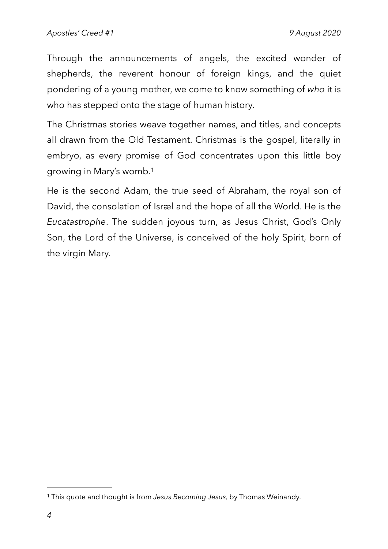Through the announcements of angels, the excited wonder of shepherds, the reverent honour of foreign kings, and the quiet pondering of a young mother, we come to know something of *who* it is who has stepped onto the stage of human history.

The Christmas stories weave together names, and titles, and concepts all drawn from the Old Testament. Christmas is the gospel, literally in embryo, as every promise of God concentrates upon this little boy growing in Mary's womb[.1](#page-3-0)

<span id="page-3-1"></span>He is the second Adam, the true seed of Abraham, the royal son of David, the consolation of Isræl and the hope of all the World. He is the *Eucatastrophe*. The sudden joyous turn, as Jesus Christ, God's Only Son, the Lord of the Universe, is conceived of the holy Spirit, born of the virgin Mary.

<span id="page-3-0"></span><sup>&</sup>lt;sup>[1](#page-3-1)</sup> This quote and thought is from *Jesus Becoming Jesus*, by Thomas Weinandy.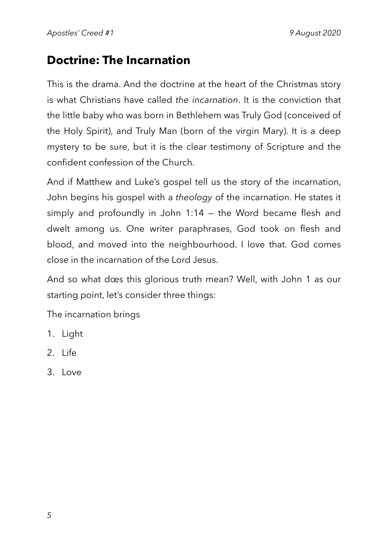## **Doctrine: The Incarnation**

This is the drama. And the doctrine at the heart of the Christmas story is what Christians have called *the incarnation*. It is the conviction that the little baby who was born in Bethlehem was Truly God (conceived of the Holy Spirit), and Truly Man (born of the virgin Mary). It is a deep mystery to be sure, but it is the clear testimony of Scripture and the confident confession of the Church.

And if Matthew and Luke's gospel tell us the story of the incarnation, John begins his gospel with a *theology* of the incarnation. He states it simply and profoundly in John 1:14 — the Word became flesh and dwelt among us. One writer paraphrases, God took on flesh and blood, and moved into the neighbourhood. I love that. God comes close in the incarnation of the Lord Jesus.

And so what dœs this glorious truth mean? Well, with John 1 as our starting point, let's consider three things:

The incarnation brings

- 1. Light
- 2. Life
- 3. Love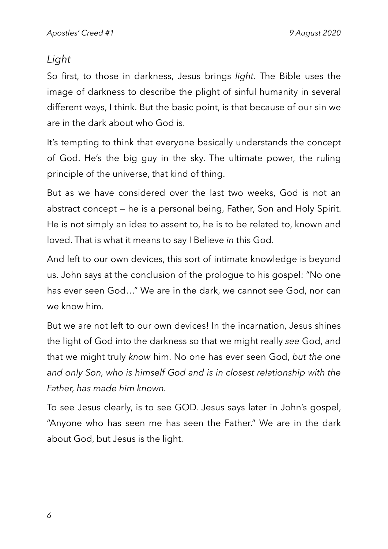### *Light*

So first, to those in darkness, Jesus brings *light.* The Bible uses the image of darkness to describe the plight of sinful humanity in several different ways, I think. But the basic point, is that because of our sin we are in the dark about who God is.

It's tempting to think that everyone basically understands the concept of God. He's the big guy in the sky. The ultimate power, the ruling principle of the universe, that kind of thing.

But as we have considered over the last two weeks, God is not an abstract concept — he is a personal being, Father, Son and Holy Spirit. He is not simply an idea to assent to, he is to be related to, known and loved. That is what it means to say I Believe *in* this God.

And left to our own devices, this sort of intimate knowledge is beyond us. John says at the conclusion of the prologue to his gospel: "No one has ever seen God…" We are in the dark, we cannot see God, nor can we know him.

But we are not left to our own devices! In the incarnation, Jesus shines the light of God into the darkness so that we might really *see* God, and that we might truly *know* him. No one has ever seen God, *but the one and only Son, who is himself God and is in closest relationship with the Father, has made him known.* 

To see Jesus clearly, is to see GOD. Jesus says later in John's gospel, "Anyone who has seen me has seen the Father." We are in the dark about God, but Jesus is the light.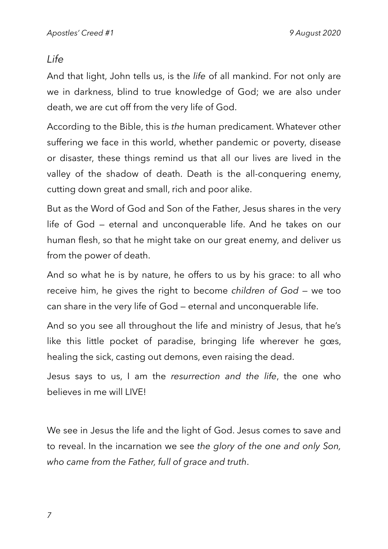#### *Life*

And that light, John tells us, is the *life* of all mankind. For not only are we in darkness, blind to true knowledge of God; we are also under death, we are cut off from the very life of God.

According to the Bible, this is *the* human predicament. Whatever other suffering we face in this world, whether pandemic or poverty, disease or disaster, these things remind us that all our lives are lived in the valley of the shadow of death. Death is the all-conquering enemy, cutting down great and small, rich and poor alike.

But as the Word of God and Son of the Father, Jesus shares in the very life of God — eternal and unconquerable life. And he takes on our human flesh, so that he might take on our great enemy, and deliver us from the power of death.

And so what he is by nature, he offers to us by his grace: to all who receive him, he gives the right to become *children of God —* we too can share in the very life of God — eternal and unconquerable life.

And so you see all throughout the life and ministry of Jesus, that he's like this little pocket of paradise, bringing life wherever he gœs, healing the sick, casting out demons, even raising the dead.

Jesus says to us, I am the *resurrection and the life*, the one who believes in me will LIVE!

We see in Jesus the life and the light of God. Jesus comes to save and to reveal. In the incarnation we see *the glory of the one and only Son, who came from the Father, full of grace and truth*.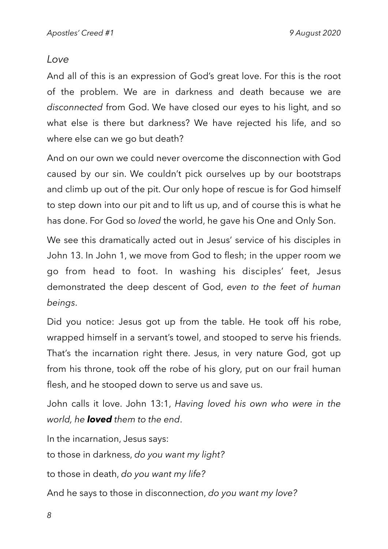#### *Love*

And all of this is an expression of God's great love. For this is the root of the problem. We are in darkness and death because we are *disconnected* from God. We have closed our eyes to his light, and so what else is there but darkness? We have rejected his life, and so where else can we go but death?

And on our own we could never overcome the disconnection with God caused by our sin. We couldn't pick ourselves up by our bootstraps and climb up out of the pit. Our only hope of rescue is for God himself to step down into our pit and to lift us up, and of course this is what he has done. For God so *loved* the world, he gave his One and Only Son.

We see this dramatically acted out in Jesus' service of his disciples in John 13. In John 1, we move from God to flesh; in the upper room we go from head to foot. In washing his disciples' feet, Jesus demonstrated the deep descent of God, *even to the feet of human beings*.

Did you notice: Jesus got up from the table. He took off his robe, wrapped himself in a servant's towel, and stooped to serve his friends. That's the incarnation right there. Jesus, in very nature God, got up from his throne, took off the robe of his glory, put on our frail human flesh, and he stooped down to serve us and save us.

John calls it love. John 13:1, *Having loved his own who were in the world, he loved them to the end*.

In the incarnation, Jesus says:

to those in darkness, *do you want my light?*

to those in death, *do you want my life?*

And he says to those in disconnection, *do you want my love?*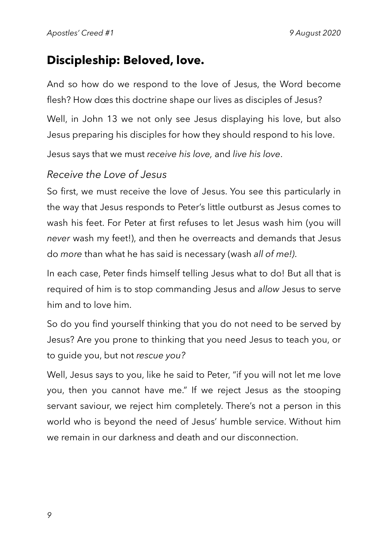## **Discipleship: Beloved, love.**

And so how do we respond to the love of Jesus, the Word become flesh? How dœs this doctrine shape our lives as disciples of Jesus?

Well, in John 13 we not only see Jesus displaying his love, but also Jesus preparing his disciples for how they should respond to his love.

Jesus says that we must *receive his love,* and *live his love*.

#### *Receive the Love of Jesus*

So first, we must receive the love of Jesus. You see this particularly in the way that Jesus responds to Peter's little outburst as Jesus comes to wash his feet. For Peter at first refuses to let Jesus wash him (you will *never* wash my feet!), and then he overreacts and demands that Jesus do *more* than what he has said is necessary (wash *all of me!)*.

In each case, Peter finds himself telling Jesus what to do! But all that is required of him is to stop commanding Jesus and *allow* Jesus to serve him and to love him.

So do you find yourself thinking that you do not need to be served by Jesus? Are you prone to thinking that you need Jesus to teach you, or to guide you, but not *rescue you?*

Well, Jesus says to you, like he said to Peter, "if you will not let me love you, then you cannot have me." If we reject Jesus as the stooping servant saviour, we reject him completely. There's not a person in this world who is beyond the need of Jesus' humble service. Without him we remain in our darkness and death and our disconnection.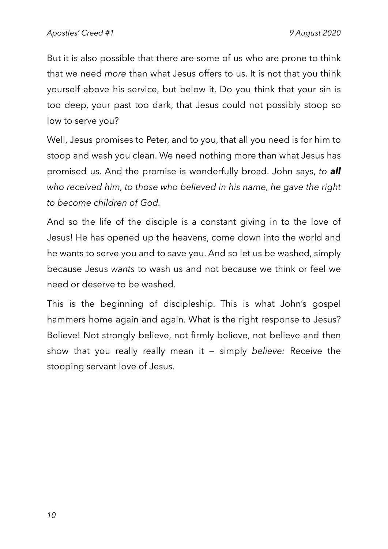But it is also possible that there are some of us who are prone to think that we need *more* than what Jesus offers to us. It is not that you think yourself above his service, but below it. Do you think that your sin is too deep, your past too dark, that Jesus could not possibly stoop so low to serve you?

Well, Jesus promises to Peter, and to you, that all you need is for him to stoop and wash you clean. We need nothing more than what Jesus has promised us. And the promise is wonderfully broad. John says, *to all who received him, to those who believed in his name, he gave the right to become children of God.* 

And so the life of the disciple is a constant giving in to the love of Jesus! He has opened up the heavens, come down into the world and he wants to serve you and to save you. And so let us be washed, simply because Jesus *wants* to wash us and not because we think or feel we need or deserve to be washed.

This is the beginning of discipleship. This is what John's gospel hammers home again and again. What is the right response to Jesus? Believe! Not strongly believe, not firmly believe, not believe and then show that you really really mean it — simply *believe:* Receive the stooping servant love of Jesus.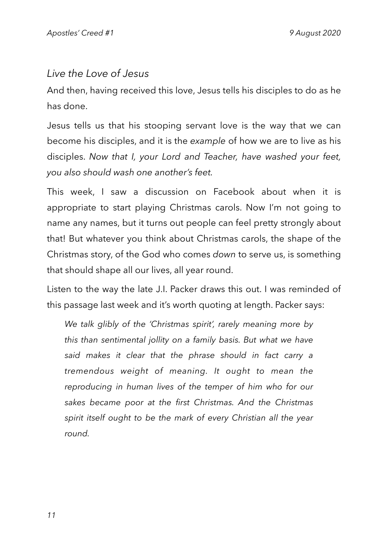#### *Live the Love of Jesus*

And then, having received this love, Jesus tells his disciples to do as he has done.

Jesus tells us that his stooping servant love is the way that we can become his disciples, and it is the *example* of how we are to live as his disciples. *Now that I, your Lord and Teacher, have washed your feet, you also should wash one another's feet.*

This week, I saw a discussion on Facebook about when it is appropriate to start playing Christmas carols. Now I'm not going to name any names, but it turns out people can feel pretty strongly about that! But whatever you think about Christmas carols, the shape of the Christmas story, of the God who comes *down* to serve us, is something that should shape all our lives, all year round.

Listen to the way the late J.I. Packer draws this out. I was reminded of this passage last week and it's worth quoting at length. Packer says:

*We talk glibly of the 'Christmas spirit', rarely meaning more by this than sentimental jollity on a family basis. But what we have said makes it clear that the phrase should in fact carry a tremendous weight of meaning. It ought to mean the reproducing in human lives of the temper of him who for our sakes became poor at the first Christmas. And the Christmas spirit itself ought to be the mark of every Christian all the year round.*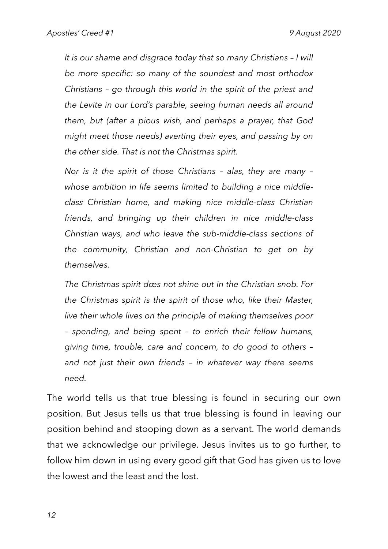*It is our shame and disgrace today that so many Christians – I will be more specific: so many of the soundest and most orthodox Christians – go through this world in the spirit of the priest and the Levite in our Lord's parable, seeing human needs all around them, but (after a pious wish, and perhaps a prayer, that God might meet those needs) averting their eyes, and passing by on the other side. That is not the Christmas spirit.* 

*Nor is it the spirit of those Christians – alas, they are many – whose ambition in life seems limited to building a nice middleclass Christian home, and making nice middle-class Christian friends, and bringing up their children in nice middle-class Christian ways, and who leave the sub-middle-class sections of the community, Christian and non-Christian to get on by themselves.* 

*The Christmas spirit dœs not shine out in the Christian snob. For the Christmas spirit is the spirit of those who, like their Master, live their whole lives on the principle of making themselves poor – spending, and being spent – to enrich their fellow humans, giving time, trouble, care and concern, to do good to others – and not just their own friends – in whatever way there seems need.* 

The world tells us that true blessing is found in securing our own position. But Jesus tells us that true blessing is found in leaving our position behind and stooping down as a servant. The world demands that we acknowledge our privilege. Jesus invites us to go further, to follow him down in using every good gift that God has given us to love the lowest and the least and the lost.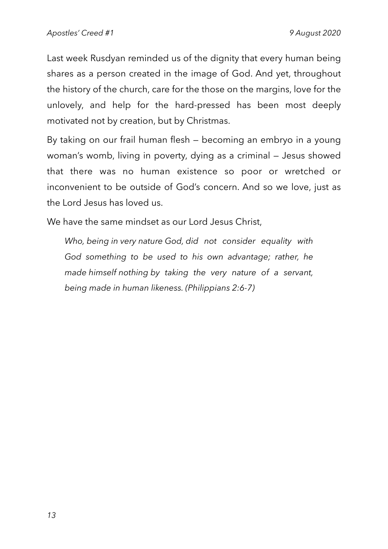Last week Rusdyan reminded us of the dignity that every human being shares as a person created in the image of God. And yet, throughout the history of the church, care for the those on the margins, love for the unlovely, and help for the hard-pressed has been most deeply motivated not by creation, but by Christmas.

By taking on our frail human flesh — becoming an embryo in a young woman's womb, living in poverty, dying as a criminal — Jesus showed that there was no human existence so poor or wretched or inconvenient to be outside of God's concern. And so we love, just as the Lord Jesus has loved us.

We have the same mindset as our Lord Jesus Christ,

*Who, being in very nature God, did not consider equality with God something to be used to his own advantage; rather, he made himself nothing by taking the very nature of a servant, being made in human likeness. (Philippians 2:6-7)*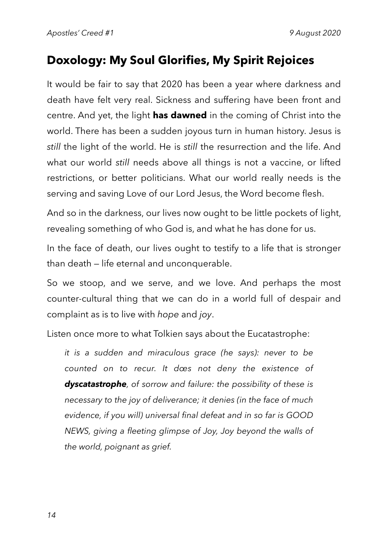## **Doxology: My Soul Glorifies, My Spirit Rejoices**

It would be fair to say that 2020 has been a year where darkness and death have felt very real. Sickness and suffering have been front and centre. And yet, the light **has dawned** in the coming of Christ into the world. There has been a sudden joyous turn in human history. Jesus is *still* the light of the world. He is *still* the resurrection and the life. And what our world *still* needs above all things is not a vaccine, or lifted restrictions, or better politicians. What our world really needs is the serving and saving Love of our Lord Jesus, the Word become flesh.

And so in the darkness, our lives now ought to be little pockets of light, revealing something of who God is, and what he has done for us.

In the face of death, our lives ought to testify to a life that is stronger than death — life eternal and unconquerable.

So we stoop, and we serve, and we love. And perhaps the most counter-cultural thing that we can do in a world full of despair and complaint as is to live with *hope* and *joy*.

Listen once more to what Tolkien says about the Eucatastrophe:

*it is a sudden and miraculous grace (he says): never to be counted on to recur. It dœs not deny the existence of dyscatastrophe, of sorrow and failure: the possibility of these is necessary to the joy of deliverance; it denies (in the face of much evidence, if you will) universal final defeat and in so far is GOOD NEWS, giving a fleeting glimpse of Joy, Joy beyond the walls of the world, poignant as grief.*